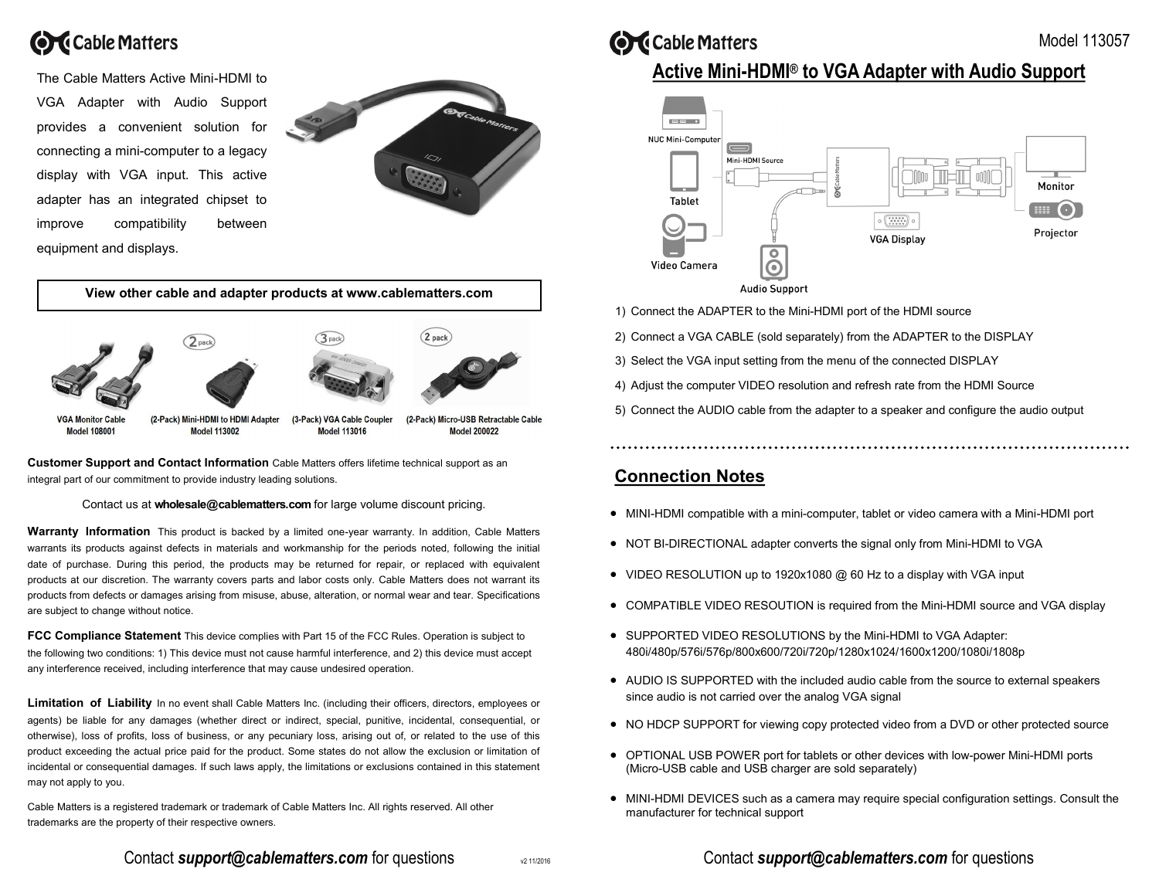

The Cable Matters Active Mini-HDMI to VGA Adapter with Audio Support provides a convenient solution for connecting a mini-computer to a legacy display with VGA input. This active adapter has an integrated chipset to improve compatibility between equipment and displays.



**View other cable and adapter products at www.cablematters.com** 2 pack  $\mathbf{R}_{\text{nad}}$ **VGA Monitor Cable** (2-Pack) Mini-HDMI to HDMI Adapter (3-Pack) VGA Cable Coupler (2-Pack) Micro-USB Retractable Cable **Model 108001 Model 113002 Model 113016 Model 200022** 

**Customer Support and Contact Information** Cable Matters offers lifetime technical support as an integral part of our commitment to provide industry leading solutions.

Contact us at **wholesale@cablematters.com** for large volume discount pricing.

**Warranty Information** This product is backed by a limited one-year warranty. In addition, Cable Matters warrants its products against defects in materials and workmanship for the periods noted, following the initial date of purchase. During this period, the products may be returned for repair, or replaced with equivalent products at our discretion. The warranty covers parts and labor costs only. Cable Matters does not warrant its products from defects or damages arising from misuse, abuse, alteration, or normal wear and tear. Specifications are subject to change without notice.

**FCC Compliance Statement** This device complies with Part 15 of the FCC Rules. Operation is subject to the following two conditions: 1) This device must not cause harmful interference, and 2) this device must accept any interference received, including interference that may cause undesired operation.

**Limitation of Liability** In no event shall Cable Matters Inc. (including their officers, directors, employees or agents) be liable for any damages (whether direct or indirect, special, punitive, incidental, consequential, or otherwise), loss of profits, loss of business, or any pecuniary loss, arising out of, or related to the use of this product exceeding the actual price paid for the product. Some states do not allow the exclusion or limitation of incidental or consequential damages. If such laws apply, the limitations or exclusions contained in this statement may not apply to you.

Cable Matters is a registered trademark or trademark of Cable Matters Inc. All rights reserved. All other trademarks are the property of their respective owners.

**OC** Cable Matters

# **Active Mini-HDMI® to VGA Adapter with Audio Support**

Model 113057



- 1) Connect the ADAPTER to the Mini-HDMI port of the HDMI source
- 2) Connect a VGA CABLE (sold separately) from the ADAPTER to the DISPLAY
- 3) Select the VGA input setting from the menu of the connected DISPLAY
- 4) Adjust the computer VIDEO resolution and refresh rate from the HDMI Source
- 5) Connect the AUDIO cable from the adapter to a speaker and configure the audio output

### **Connection Notes**

- $\bullet$  MINI-HDMI compatible with a mini-computer, tablet or video camera with a Mini-HDMI port
- NOT BI-DIRECTIONAL adapter converts the signal only from Mini-HDMI to VGA
- VIDEO RESOLUTION up to 1920x1080 @ 60 Hz to a display with VGA input
- COMPATIBLE VIDEO RESOUTION is required from the Mini-HDMI source and VGA display
- SUPPORTED VIDEO RESOLUTIONS by the Mini-HDMI to VGA Adapter: 480i/480p/576i/576p/800x600/720i/720p/1280x1024/1600x1200/1080i/1808p
- AUDIO IS SUPPORTED with the included audio cable from the source to external speakers since audio is not carried over the analog VGA signal
- NO HDCP SUPPORT for viewing copy protected video from a DVD or other protected source
- OPTIONAL USB POWER port for tablets or other devices with low-power Mini-HDMI ports (Micro-USB cable and USB charger are sold separately)
- $\bullet$  MINI-HDMI DEVICES such as a camera may require special configuration settings. Consult the manufacturer for technical support

#### Contact *support@cablematters.com* for questions